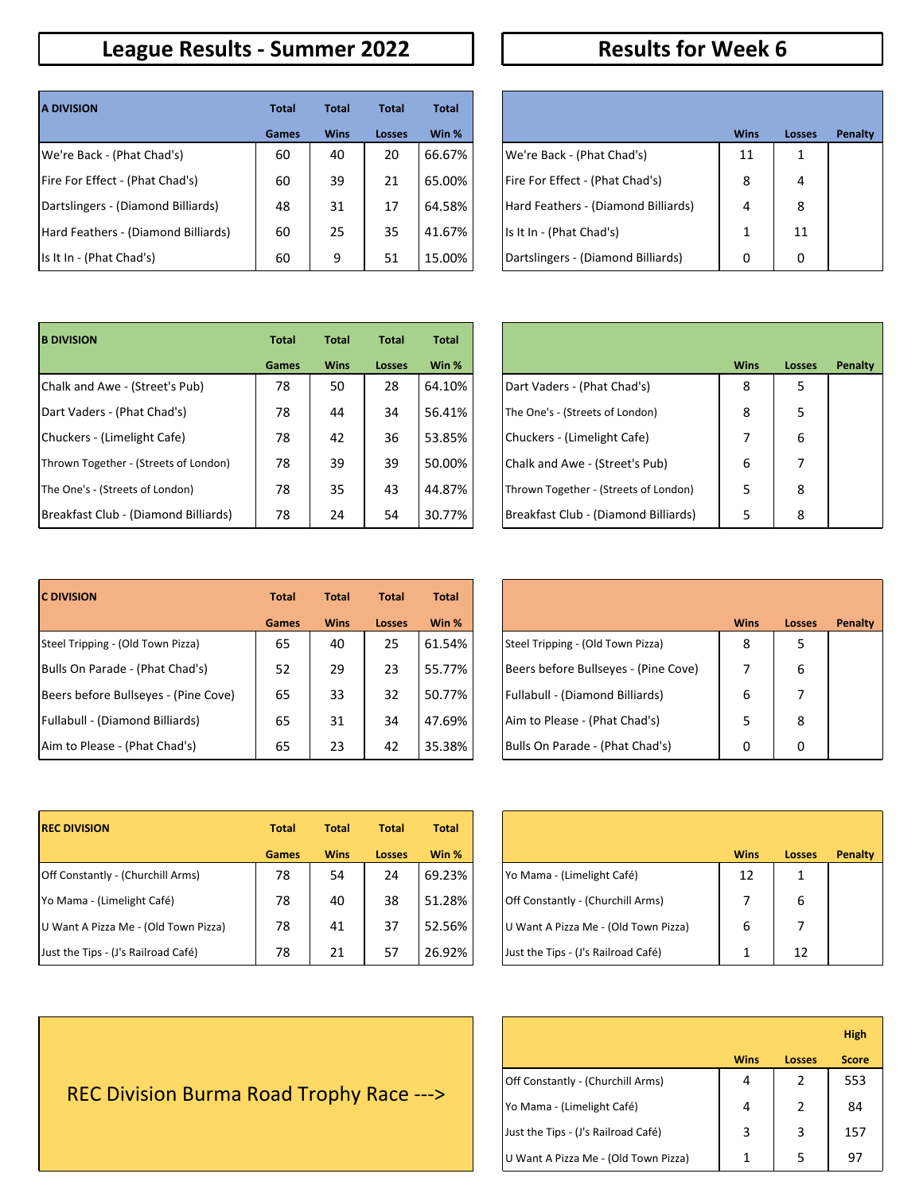#### **League Results - Summer 2022 Results for Week 6**

| <b>A DIVISION</b>                      | <b>Total</b> | <b>Total</b> | <b>Total</b> | <b>Total</b> |                                     |             |                |
|----------------------------------------|--------------|--------------|--------------|--------------|-------------------------------------|-------------|----------------|
|                                        | Games        | <b>Wins</b>  | Losses       | Win %        |                                     | <b>Wins</b> | Loss           |
| We're Back - (Phat Chad's)             | 60           | 40           | 20           | 66.67%       | We're Back - (Phat Chad's)          | 11          | $\mathbf{1}$   |
| <b>Fire For Effect - (Phat Chad's)</b> | 60           | 39           | 21           | 65.00%       | Fire For Effect - (Phat Chad's)     | 8           | $\overline{4}$ |
| Dartslingers - (Diamond Billiards)     | 48           | 31           | 17           | 64.58%       | Hard Feathers - (Diamond Billiards) | 4           | 8              |
| Hard Feathers - (Diamond Billiards)    | 60           | 25           | 35           | 41.67%       | Is It In - (Phat Chad's)            |             | 11             |
| Is It In - (Phat Chad's)               | 60           | 9            | 51           | 15.00%       | Dartslingers - (Diamond Billiards)  | 0           | $\Omega$       |

| <b>Total</b> | <b>Total</b> | <b>Total</b> | <b>Total</b> |                                     |             |        |         |
|--------------|--------------|--------------|--------------|-------------------------------------|-------------|--------|---------|
| <b>Games</b> | <b>Wins</b>  | Losses       | Win %        |                                     | <b>Wins</b> | Losses | Penalty |
| 60           | 40           | 20           | 66.67%       | We're Back - (Phat Chad's)          | 11          | 1      |         |
| 60           | 39           | 21           | 65.00%       | Fire For Effect - (Phat Chad's)     | 8           | 4      |         |
| 48           | 31           | 17           | 64.58%       | Hard Feathers - (Diamond Billiards) | 4           | 8      |         |
| 60           | 25           | 35           | 41.67%       | lls It In - (Phat Chad's)           | 1           | 11     |         |
| 60           | 9            | 51           | 15.00%       | Dartslingers - (Diamond Billiards)  | 0           | 0      |         |

| <b>B DIVISION</b>                     | <b>Total</b> | <b>Total</b> | <b>Total</b> | <b>Total</b> |                                            |
|---------------------------------------|--------------|--------------|--------------|--------------|--------------------------------------------|
|                                       | <b>Games</b> | <b>Wins</b>  | Losses       | Win %        | <b>Wins</b>                                |
| Chalk and Awe - (Street's Pub)        | 78           | 50           | 28           | 64.10%       | Dart Vaders - (Phat Chad's)<br>8           |
| Dart Vaders - (Phat Chad's)           | 78           | 44           | 34           | 56.41%       | 8<br>The One's - (Streets of London)       |
| Chuckers - (Limelight Cafe)           | 78           | 42           | 36           | 53.85%       | Chuckers - (Limelight Cafe)                |
| Thrown Together - (Streets of London) | 78           | 39           | 39           | 50.00%       | 6<br>Chalk and Awe - (Street's Pub)        |
| The One's - (Streets of London)       | 78           | 35           | 43           | 44.87%       | Thrown Together - (Streets of London)<br>5 |
| Breakfast Club - (Diamond Billiards)  | 78           | 24           | 54           | 30.77%       | Breakfast Club - (Diamond Billiards)<br>5  |

| <b>Total</b> | <b>Total</b> | <b>Total</b> | <b>Total</b> |                                       |             |               |                |
|--------------|--------------|--------------|--------------|---------------------------------------|-------------|---------------|----------------|
| <b>Games</b> | <b>Wins</b>  | Losses       | Win %        |                                       | <b>Wins</b> | <b>Losses</b> | <b>Penalty</b> |
| 78           | 50           | 28           | 64.10%       | Dart Vaders - (Phat Chad's)           | 8           | 5             |                |
| 78           | 44           | 34           | 56.41%       | The One's - (Streets of London)       | 8           | 5             |                |
| 78           | 42           | 36           | 53.85%       | Chuckers - (Limelight Cafe)           | 7           | 6             |                |
| 78           | 39           | 39           | 50.00%       | Chalk and Awe - (Street's Pub)        | 6           | 7             |                |
| 78           | 35           | 43           | 44.87%       | Thrown Together - (Streets of London) | 5           | 8             |                |
| 78           | 24           | 54           | 30.77%       | Breakfast Club - (Diamond Billiards)  | 5           | 8             |                |

| <b>C DIVISION</b>                    | <b>Total</b> | <b>Total</b> | <b>Total</b>  | <b>Total</b> |                                      |             |      |
|--------------------------------------|--------------|--------------|---------------|--------------|--------------------------------------|-------------|------|
|                                      | <b>Games</b> | <b>Wins</b>  | <b>Losses</b> | Win %        |                                      | <b>Wins</b> | Loss |
| Steel Tripping - (Old Town Pizza)    | 65           | 40           | 25            | 61.54%       | Steel Tripping - (Old Town Pizza)    | 8           | 5    |
| Bulls On Parade - (Phat Chad's)      | 52           | 29           | 23            | 55.77%       | Beers before Bullseyes - (Pine Cove) |             | 6    |
| Beers before Bullseyes - (Pine Cove) | 65           | 33           | 32            | 50.77%       | Fullabull - (Diamond Billiards)      | 6           | 7    |
| Fullabull - (Diamond Billiards)      | 65           | 31           | 34            | 47.69%       | Aim to Please - (Phat Chad's)        |             | 8    |
| Aim to Please - (Phat Chad's)        | 65           | 23           | 42            | 35.38%       | Bulls On Parade - (Phat Chad's)      | 0           | 0    |

| <b>Total</b> | <b>Total</b> | <b>Total</b>  | <b>Total</b> |                                      |             |               |                |
|--------------|--------------|---------------|--------------|--------------------------------------|-------------|---------------|----------------|
| <b>Games</b> | <b>Wins</b>  | <b>Losses</b> | Win %        |                                      | <b>Wins</b> | <b>Losses</b> | <b>Penalty</b> |
| 65           | 40           | 25            | 61.54%       | Steel Tripping - (Old Town Pizza)    | 8           | 5             |                |
| 52           | 29           | 23            | 55.77%       | Beers before Bullseyes - (Pine Cove) |             | 6             |                |
| 65           | 33           | 32            | 50.77%       | Fullabull - (Diamond Billiards)      | 6           | 7             |                |
| 65           | 31           | 34            | 47.69%       | Aim to Please - (Phat Chad's)        | 5           | 8             |                |
| 65           | 23           | 42            | 35.38%       | Bulls On Parade - (Phat Chad's)      | 0           | 0             |                |

| <b>REC DIVISION</b>                      | <b>Total</b> | <b>Total</b> | <b>Total</b>  | <b>Total</b> |                                      |             |              |
|------------------------------------------|--------------|--------------|---------------|--------------|--------------------------------------|-------------|--------------|
|                                          | <b>Games</b> | <b>Wins</b>  | <b>Losses</b> | Win %        |                                      | <b>Wins</b> | Loss         |
| <b>Off Constantly - (Churchill Arms)</b> | 78           | 54           | 24            | 69.23%       | [Yo Mama - (Limelight Café)          | 12          | $\mathbf{1}$ |
| Yo Mama - (Limelight Café)               | 78           | 40           | 38            | 51.28%       | Off Constantly - (Churchill Arms)    |             | 6            |
| U Want A Pizza Me - (Old Town Pizza)     | 78           | 41           | 37            | 52.56%       | U Want A Pizza Me - (Old Town Pizza) | 6           |              |
| Just the Tips - (J's Railroad Café)      | 78           | 21           | 57            | 26.92%       | Just the Tips - (J's Railroad Café)  |             | 12           |

| <b>Total</b> | <b>Total</b> | <b>Total</b>  | Total  |                                      |             |               |                |
|--------------|--------------|---------------|--------|--------------------------------------|-------------|---------------|----------------|
| <b>Games</b> | <b>Wins</b>  | <b>Losses</b> | Win %  |                                      | <b>Wins</b> | <b>Losses</b> | <b>Penalty</b> |
| 78           | 54           | 24            | 69.23% | Yo Mama - (Limelight Café)           | 12          | 1             |                |
| 78           | 40           | 38            | 51.28% | Off Constantly - (Churchill Arms)    |             | 6             |                |
| 78           | 41           | 37            | 52.56% | U Want A Pizza Me - (Old Town Pizza) | 6           |               |                |
| 78           | 21           | 57            | 26.92% | Just the Tips - (J's Railroad Café)  | 1           | 12            |                |

|                                      |             |        | <b>High</b>  |
|--------------------------------------|-------------|--------|--------------|
|                                      | <b>Wins</b> | Losses | <b>Score</b> |
| Off Constantly - (Churchill Arms)    | 4           | 2      | 553          |
| Yo Mama - (Limelight Café)           | 4           | 2      | 84           |
| Just the Tips - (J's Railroad Café)  | 3           | 3      | 157          |
| U Want A Pizza Me - (Old Town Pizza) | 1           | 5      | ч,           |

REC Division Burma Road Trophy Race --->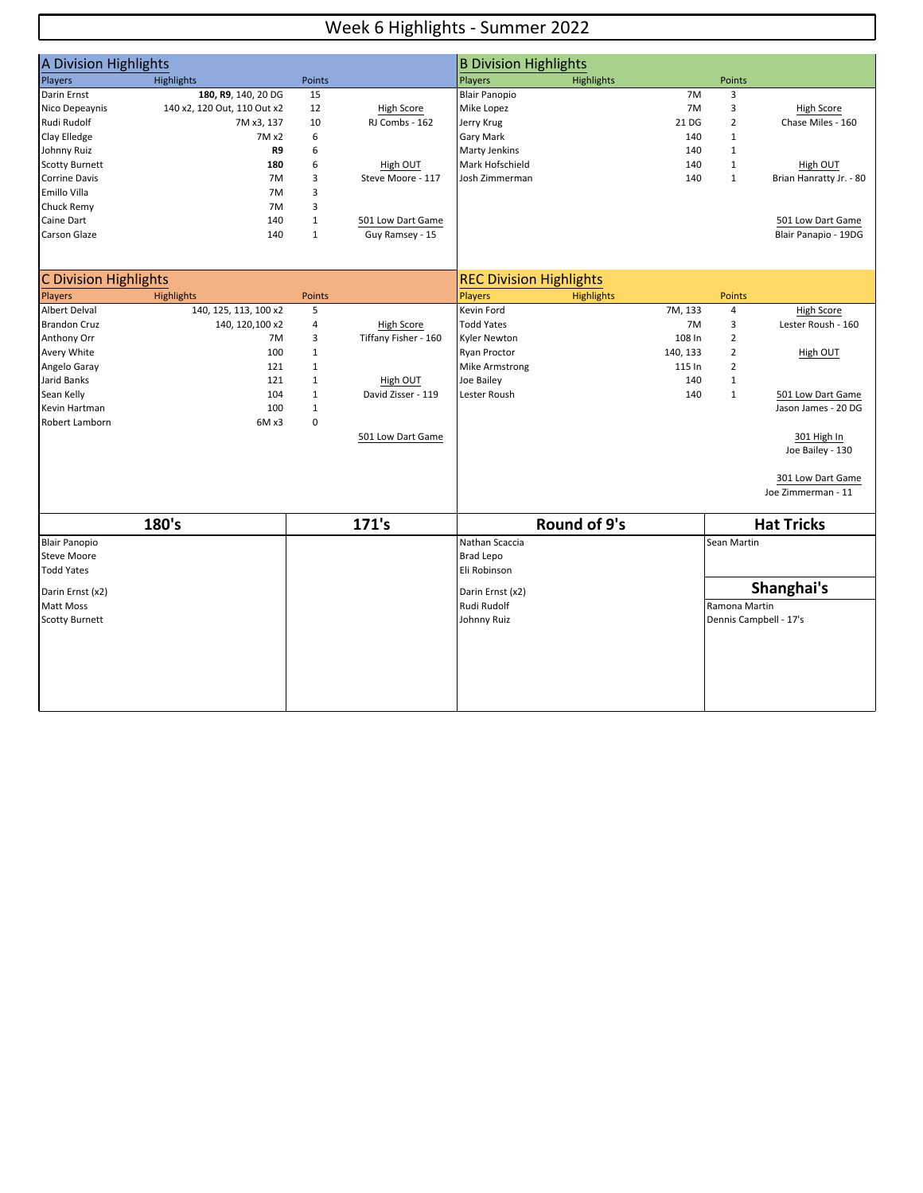#### Week 6 Highlights - Summer 2022

| A Division Highlights |                             |               |                      | <b>B Division Highlights</b>   |                   |          |                |                         |
|-----------------------|-----------------------------|---------------|----------------------|--------------------------------|-------------------|----------|----------------|-------------------------|
| Players               | <b>Highlights</b>           | <b>Points</b> |                      | Players                        | <b>Highlights</b> |          | <b>Points</b>  |                         |
| Darin Ernst           | 180, R9, 140, 20 DG         | 15            |                      | <b>Blair Panopio</b>           |                   | 7M       | 3              |                         |
| Nico Depeaynis        | 140 x2, 120 Out, 110 Out x2 | 12            | <b>High Score</b>    | Mike Lopez                     |                   | 7M       | 3              | <b>High Score</b>       |
| Rudi Rudolf           | 7M x3, 137                  | 10            | RJ Combs - 162       | Jerry Krug                     |                   | 21 DG    | $\overline{2}$ | Chase Miles - 160       |
| Clay Elledge          | 7M x2                       | 6             |                      | <b>Gary Mark</b>               |                   | 140      | $\mathbf{1}$   |                         |
| Johnny Ruiz           | R9                          | 6             |                      | <b>Marty Jenkins</b>           |                   | 140      | $\mathbf{1}$   |                         |
| <b>Scotty Burnett</b> | 180                         | 6             | High OUT             | Mark Hofschield                |                   | 140      | $1\,$          | High OUT                |
| Corrine Davis         | 7M                          | 3             | Steve Moore - 117    | Josh Zimmerman                 |                   | 140      | $1\,$          | Brian Hanratty Jr. - 80 |
| Emillo Villa          | 7M                          | 3             |                      |                                |                   |          |                |                         |
| Chuck Remy            | 7M                          | 3             |                      |                                |                   |          |                |                         |
| Caine Dart            | 140                         | $\mathbf{1}$  | 501 Low Dart Game    |                                |                   |          |                | 501 Low Dart Game       |
| Carson Glaze          | 140                         | $\mathbf{1}$  | Guy Ramsey - 15      |                                |                   |          |                | Blair Panapio - 19DG    |
|                       |                             |               |                      |                                |                   |          |                |                         |
| C Division Highlights |                             |               |                      | <b>REC Division Highlights</b> |                   |          |                |                         |
| Players               | <b>Highlights</b>           | Points        |                      | Players                        | <b>Highlights</b> |          | <b>Points</b>  |                         |
| Albert Delval         | 140, 125, 113, 100 x2       | 5             |                      | Kevin Ford                     |                   | 7M, 133  | $\overline{4}$ | High Score              |
| <b>Brandon Cruz</b>   | 140, 120, 100 x2            | 4             | High Score           | <b>Todd Yates</b>              |                   | 7M       | 3              | Lester Roush - 160      |
| Anthony Orr           | 7M                          | 3             | Tiffany Fisher - 160 | <b>Kyler Newton</b>            |                   | 108 In   | $\overline{2}$ |                         |
| Avery White           | 100                         | $\mathbf{1}$  |                      | Ryan Proctor                   |                   | 140, 133 | $\overline{2}$ | High OUT                |
| Angelo Garay          | 121                         | $\mathbf{1}$  |                      | <b>Mike Armstrong</b>          |                   | 115 In   | $\overline{2}$ |                         |
| Jarid Banks           | 121                         | $\mathbf{1}$  | High OUT             | Joe Bailey                     |                   | 140      | $\mathbf{1}$   |                         |
| Sean Kelly            | 104                         | $\mathbf{1}$  | David Zisser - 119   | Lester Roush                   |                   | 140      | $\mathbf{1}$   | 501 Low Dart Game       |
| Kevin Hartman         | 100                         | $\mathbf{1}$  |                      |                                |                   |          |                | Jason James - 20 DG     |
| Robert Lamborn        | 6M x3                       | $\mathbf 0$   |                      |                                |                   |          |                |                         |
|                       |                             |               | 501 Low Dart Game    |                                |                   |          |                | 301 High In             |
|                       |                             |               |                      |                                |                   |          |                | Joe Bailey - 130        |
|                       |                             |               |                      |                                |                   |          |                | 301 Low Dart Game       |
|                       |                             |               |                      |                                |                   |          |                | Joe Zimmerman - 11      |
|                       |                             |               |                      |                                |                   |          |                |                         |
|                       | 180's                       |               | 171's                |                                | Round of 9's      |          |                | <b>Hat Tricks</b>       |
| <b>Blair Panopio</b>  |                             |               |                      | Nathan Scaccia                 |                   |          | Sean Martin    |                         |
| <b>Steve Moore</b>    |                             |               |                      | <b>Brad Lepo</b>               |                   |          |                |                         |
| <b>Todd Yates</b>     |                             |               |                      | Eli Robinson                   |                   |          |                |                         |
| Darin Ernst (x2)      |                             |               |                      | Darin Ernst (x2)               |                   |          |                | Shanghai's              |
| Matt Moss             |                             |               |                      | Rudi Rudolf                    |                   |          | Ramona Martin  |                         |
| <b>Scotty Burnett</b> |                             |               |                      | Johnny Ruiz                    |                   |          |                | Dennis Campbell - 17's  |
|                       |                             |               |                      |                                |                   |          |                |                         |
|                       |                             |               |                      |                                |                   |          |                |                         |
|                       |                             |               |                      |                                |                   |          |                |                         |
|                       |                             |               |                      |                                |                   |          |                |                         |
|                       |                             |               |                      |                                |                   |          |                |                         |
|                       |                             |               |                      |                                |                   |          |                |                         |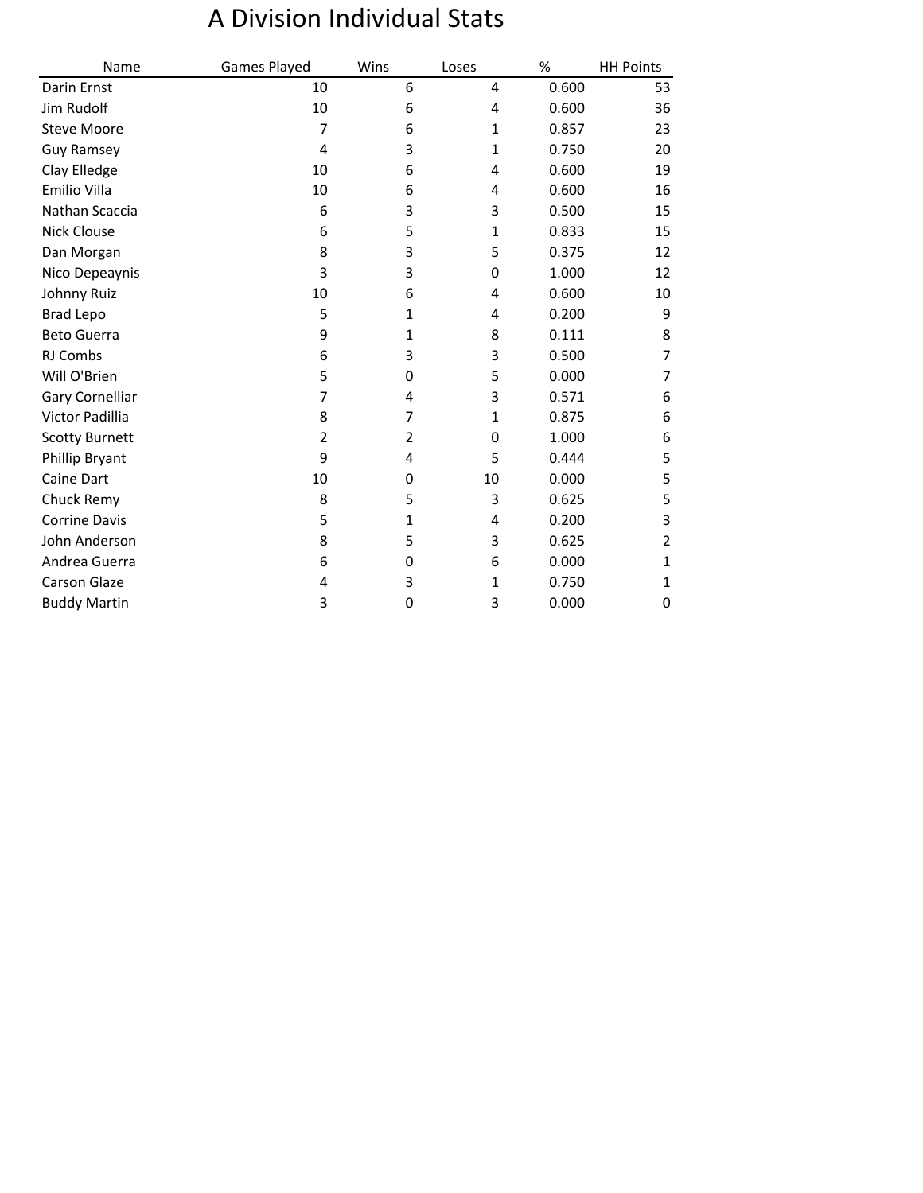# A Division Individual Stats

| Name                  | Games Played | Wins           | Loses        | %     | <b>HH Points</b> |
|-----------------------|--------------|----------------|--------------|-------|------------------|
| Darin Ernst           | 10           | 6              | 4            | 0.600 | 53               |
| Jim Rudolf            | 10           | 6              | 4            | 0.600 | 36               |
| <b>Steve Moore</b>    | 7            | 6              | $\mathbf{1}$ | 0.857 | 23               |
| <b>Guy Ramsey</b>     | 4            | 3              | $\mathbf{1}$ | 0.750 | 20               |
| Clay Elledge          | 10           | 6              | 4            | 0.600 | 19               |
| Emilio Villa          | 10           | 6              | 4            | 0.600 | 16               |
| Nathan Scaccia        | 6            | 3              | 3            | 0.500 | 15               |
| <b>Nick Clouse</b>    | 6            | 5              | $\mathbf{1}$ | 0.833 | 15               |
| Dan Morgan            | 8            | 3              | 5            | 0.375 | 12               |
| Nico Depeaynis        | 3            | 3              | 0            | 1.000 | 12               |
| Johnny Ruiz           | 10           | 6              | 4            | 0.600 | 10               |
| <b>Brad Lepo</b>      | 5            | 1              | 4            | 0.200 | 9                |
| <b>Beto Guerra</b>    | 9            | $\mathbf{1}$   | 8            | 0.111 | 8                |
| RJ Combs              | 6            | 3              | 3            | 0.500 | 7                |
| Will O'Brien          | 5            | 0              | 5            | 0.000 | 7                |
| Gary Cornelliar       | 7            | 4              | 3            | 0.571 | 6                |
| Victor Padillia       | 8            | 7              | $\mathbf{1}$ | 0.875 | 6                |
| <b>Scotty Burnett</b> | 2            | $\overline{2}$ | 0            | 1.000 | 6                |
| Phillip Bryant        | 9            | 4              | 5            | 0.444 | 5                |
| Caine Dart            | 10           | 0              | 10           | 0.000 | 5                |
| Chuck Remy            | 8            | 5              | 3            | 0.625 | 5                |
| <b>Corrine Davis</b>  | 5            | 1              | 4            | 0.200 | 3                |
| John Anderson         | 8            | 5              | 3            | 0.625 | 2                |
| Andrea Guerra         | 6            | 0              | 6            | 0.000 | 1                |
| Carson Glaze          | 4            | 3              | $\mathbf{1}$ | 0.750 | 1                |
| <b>Buddy Martin</b>   | 3            | 0              | 3            | 0.000 | 0                |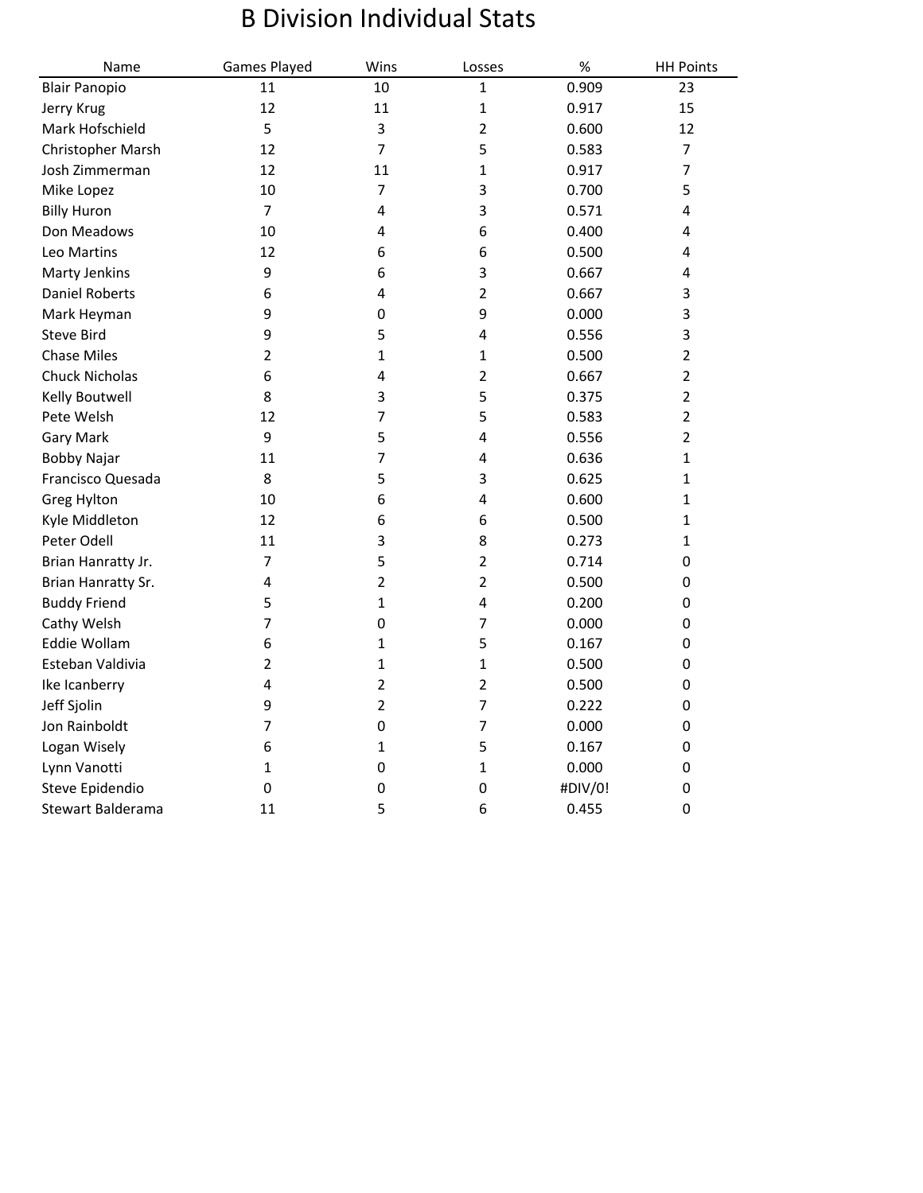## B Division Individual Stats

| Name                  | Games Played   | Wins                    | Losses                  | $\%$    | <b>HH Points</b> |
|-----------------------|----------------|-------------------------|-------------------------|---------|------------------|
| <b>Blair Panopio</b>  | 11             | 10                      | 1                       | 0.909   | 23               |
| Jerry Krug            | 12             | 11                      | $\mathbf{1}$            | 0.917   | 15               |
| Mark Hofschield       | 5              | 3                       | $\overline{2}$          | 0.600   | 12               |
| Christopher Marsh     | 12             | $\overline{7}$          | 5                       | 0.583   | 7                |
| Josh Zimmerman        | 12             | 11                      | $\mathbf 1$             | 0.917   | $\overline{7}$   |
| Mike Lopez            | 10             | $\overline{7}$          | 3                       | 0.700   | 5                |
| <b>Billy Huron</b>    | $\overline{7}$ | $\overline{\mathbf{4}}$ | 3                       | 0.571   | 4                |
| Don Meadows           | 10             | 4                       | 6                       | 0.400   | 4                |
| Leo Martins           | 12             | 6                       | 6                       | 0.500   | 4                |
| Marty Jenkins         | 9              | 6                       | 3                       | 0.667   | 4                |
| <b>Daniel Roberts</b> | 6              | 4                       | $\overline{2}$          | 0.667   | 3                |
| Mark Heyman           | 9              | 0                       | 9                       | 0.000   | 3                |
| <b>Steve Bird</b>     | 9              | 5                       | 4                       | 0.556   | 3                |
| <b>Chase Miles</b>    | $\overline{2}$ | 1                       | 1                       | 0.500   | $\overline{2}$   |
| <b>Chuck Nicholas</b> | 6              | 4                       | $\overline{2}$          | 0.667   | $\overline{2}$   |
| Kelly Boutwell        | 8              | 3                       | 5                       | 0.375   | $\overline{2}$   |
| Pete Welsh            | 12             | 7                       | 5                       | 0.583   | $\overline{2}$   |
| <b>Gary Mark</b>      | 9              | 5                       | 4                       | 0.556   | $\overline{2}$   |
| <b>Bobby Najar</b>    | 11             | 7                       | $\overline{\mathbf{4}}$ | 0.636   | $\mathbf{1}$     |
| Francisco Quesada     | 8              | 5                       | 3                       | 0.625   | 1                |
| Greg Hylton           | 10             | 6                       | $\overline{\mathbf{4}}$ | 0.600   | 1                |
| Kyle Middleton        | 12             | 6                       | 6                       | 0.500   | 1                |
| Peter Odell           | 11             | 3                       | 8                       | 0.273   | 1                |
| Brian Hanratty Jr.    | $\overline{7}$ | 5                       | $\overline{2}$          | 0.714   | 0                |
| Brian Hanratty Sr.    | 4              | 2                       | $\overline{2}$          | 0.500   | 0                |
| <b>Buddy Friend</b>   | 5              | 1                       | 4                       | 0.200   | 0                |
| Cathy Welsh           | 7              | $\mathbf 0$             | $\overline{7}$          | 0.000   | 0                |
| Eddie Wollam          | 6              | $\mathbf{1}$            | 5                       | 0.167   | 0                |
| Esteban Valdivia      | $\overline{2}$ | $\mathbf{1}$            | $\mathbf{1}$            | 0.500   | 0                |
| Ike Icanberry         | 4              | 2                       | $\overline{2}$          | 0.500   | 0                |
| Jeff Sjolin           | 9              | $\overline{2}$          | $\overline{7}$          | 0.222   | 0                |
| Jon Rainboldt         | 7              | $\pmb{0}$               | $\overline{7}$          | 0.000   | 0                |
| Logan Wisely          | 6              | $\mathbf{1}$            | 5                       | 0.167   | 0                |
| Lynn Vanotti          | 1              | $\mathbf 0$             | $\mathbf 1$             | 0.000   | 0                |
| Steve Epidendio       | $\pmb{0}$      | $\mathbf 0$             | $\mathbf 0$             | #DIV/0! | $\mathbf 0$      |
| Stewart Balderama     | 11             | 5                       | 6                       | 0.455   | $\mathbf 0$      |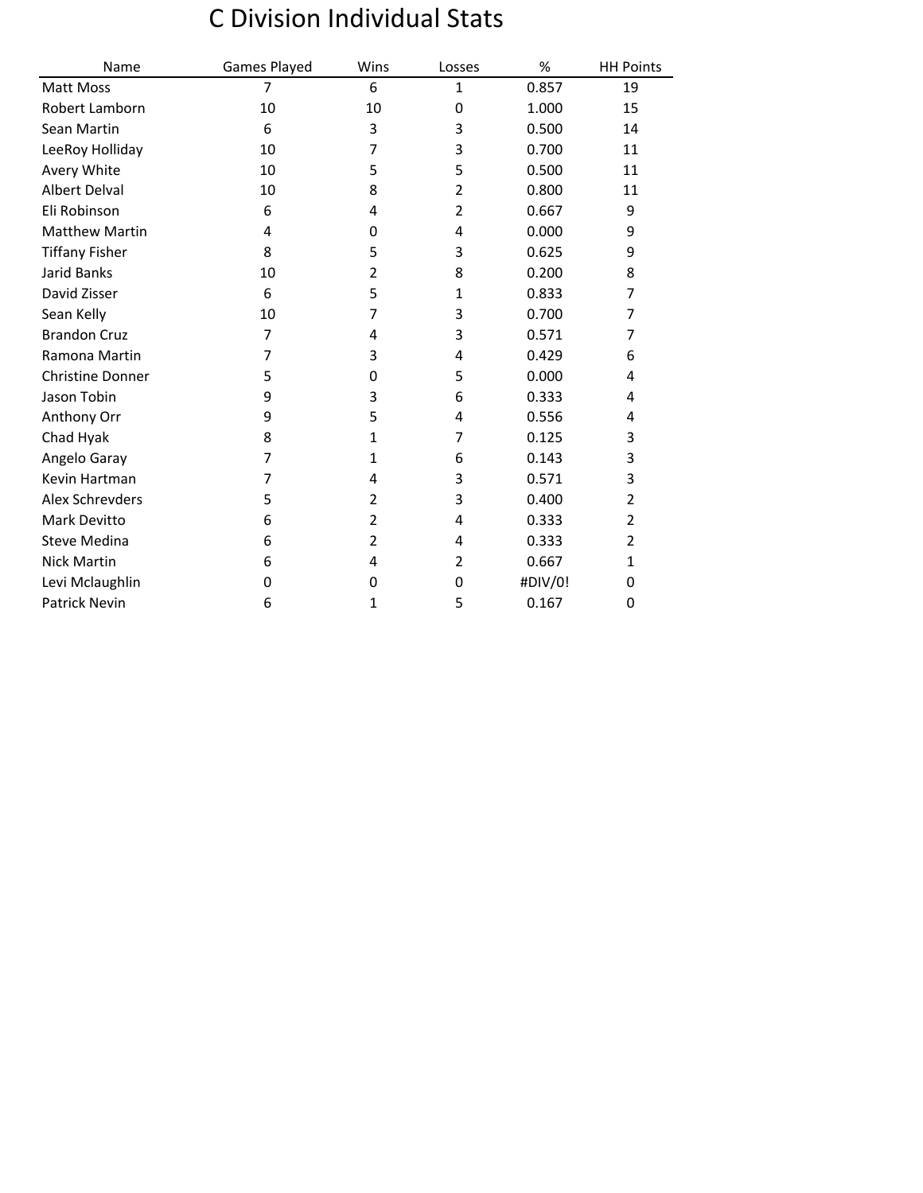## C Division Individual Stats

| Name                    | Games Played   | Wins           | Losses         | %       | <b>HH Points</b> |
|-------------------------|----------------|----------------|----------------|---------|------------------|
| Matt Moss               | $\overline{7}$ | 6              | 1              | 0.857   | 19               |
| Robert Lamborn          | 10             | 10             | 0              | 1.000   | 15               |
| Sean Martin             | 6              | 3              | 3              | 0.500   | 14               |
| LeeRoy Holliday         | 10             | 7              | 3              | 0.700   | 11               |
| Avery White             | 10             | 5              | 5              | 0.500   | 11               |
| Albert Delval           | 10             | 8              | $\overline{2}$ | 0.800   | 11               |
| Eli Robinson            | 6              | 4              | 2              | 0.667   | 9                |
| <b>Matthew Martin</b>   | 4              | 0              | 4              | 0.000   | 9                |
| <b>Tiffany Fisher</b>   | 8              | 5              | 3              | 0.625   | 9                |
| <b>Jarid Banks</b>      | 10             | $\overline{2}$ | 8              | 0.200   | 8                |
| David Zisser            | 6              | 5              | 1              | 0.833   | 7                |
| Sean Kelly              | 10             | 7              | 3              | 0.700   | 7                |
| <b>Brandon Cruz</b>     | 7              | 4              | 3              | 0.571   | 7                |
| Ramona Martin           | 7              | 3              | 4              | 0.429   | 6                |
| <b>Christine Donner</b> | 5              | 0              | 5              | 0.000   | 4                |
| Jason Tobin             | 9              | 3              | 6              | 0.333   | 4                |
| Anthony Orr             | 9              | 5              | 4              | 0.556   | 4                |
| Chad Hyak               | 8              | 1              | $\overline{7}$ | 0.125   | 3                |
| Angelo Garay            | $\overline{7}$ | 1              | 6              | 0.143   | 3                |
| Kevin Hartman           | 7              | 4              | 3              | 0.571   | 3                |
| Alex Schrevders         | 5              | 2              | 3              | 0.400   | 2                |
| Mark Devitto            | 6              | $\overline{2}$ | 4              | 0.333   | $\overline{2}$   |
| <b>Steve Medina</b>     | 6              | 2              | 4              | 0.333   | 2                |
| <b>Nick Martin</b>      | 6              | 4              | $\overline{2}$ | 0.667   | 1                |
| Levi Mclaughlin         | 0              | 0              | 0              | #DIV/0! | 0                |
| <b>Patrick Nevin</b>    | 6              | 1              | 5              | 0.167   | 0                |